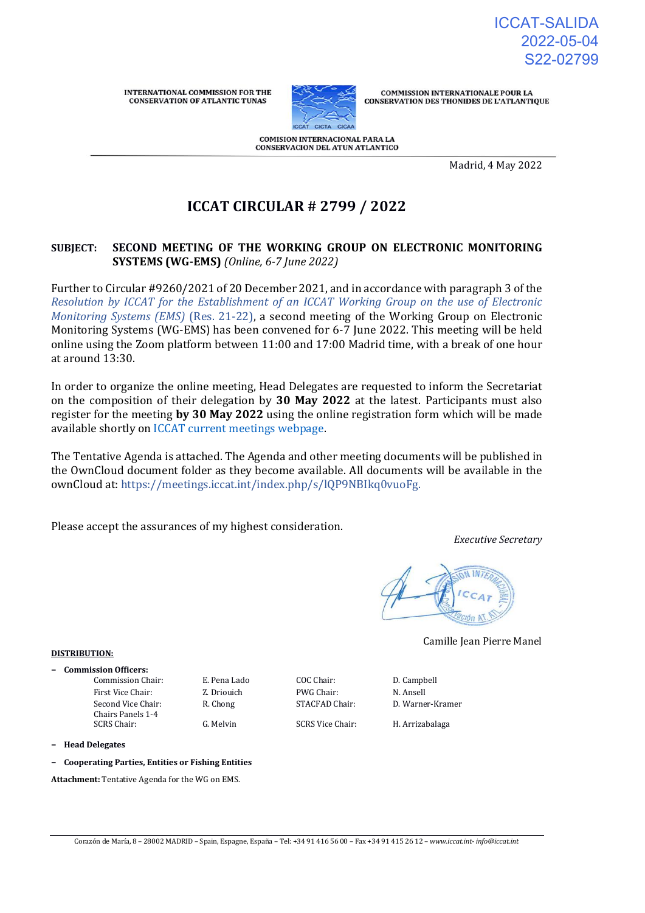**INTERNATIONAL COMMISSION FOR THE CONSERVATION OF ATLANTIC TUNAS** 



**COMMISSION INTERNATIONALE POUR LA** CONSERVATION DES THONIDES DE L'ATLANTIQUE

**COMISION INTERNACIONAL PARA LA CONSERVACION DEL ATUN ATLANTICO** 

Madrid, 4 May 2022

# **ICCAT CIRCULAR # 2799 / 2022**

# **SUBJECT: SECOND MEETING OF THE WORKING GROUP ON ELECTRONIC MONITORING SYSTEMS (WG-EMS)** *(Online, 6-7 June 2022)*

Further to Circular #9260/2021 of 20 December 2021, and in accordance with paragraph 3 of the *[Resolution by ICCAT for the Establishment of an ICCAT Working Group on the use of Electronic](https://www.iccat.int/Documents/Recs/compendiopdf-e/2021-22-e.pdf)  [Monitoring Systems \(EMS\)](https://www.iccat.int/Documents/Recs/compendiopdf-e/2021-22-e.pdf)* [\(Res. 21-22\)](https://www.iccat.int/Documents/Recs/compendiopdf-e/2021-22-e.pdf), a second meeting of the Working Group on Electronic Monitoring Systems (WG-EMS) has been convened for 6-7 June 2022. This meeting will be held online using the Zoom platform between 11:00 and 17:00 Madrid time, with a break of one hour at around 13:30.

In order to organize the online meeting, Head Delegates are requested to inform the Secretariat on the composition of their delegation by **30 May 2022** at the latest. Participants must also register for the meeting **by 30 May 2022** using the online registration form which will be made available shortly on [ICCAT current meetings webpage.](https://www.iccat.int/en/Meetings.html)

The Tentative Agenda is attached. The Agenda and other meeting documents will be published in the OwnCloud document folder as they become available. All documents will be available in the ownCloud at: [https://meetings.iccat.int/index.php/s/lQP9NBIkq0vuoFg.](https://meetings.iccat.int/index.php/s/lQP9NBIkq0vuoFg)

Please accept the assurances of my highest consideration.

*Executive Secretary*



Camille Jean Pierre Manel

## **DISTRIBUTION:**

**− Commission Officers:** Commission Chair: E. Pena Lado COC Chair: D. Campbell First Vice Chair: Z. Driouich PWG Chair: N. Ansell Second Vice Chair: Chairs Panels 1-4

SCRS Chair: G. Melvin SCRS Vice Chair: H. Arrizabalaga

R. Chong STACFAD Chair: D. Warner-Kramer

- **− Head Delegates**
- **− Cooperating Parties, Entities or Fishing Entities**

**Attachment:** Tentative Agenda for the WG on EMS.